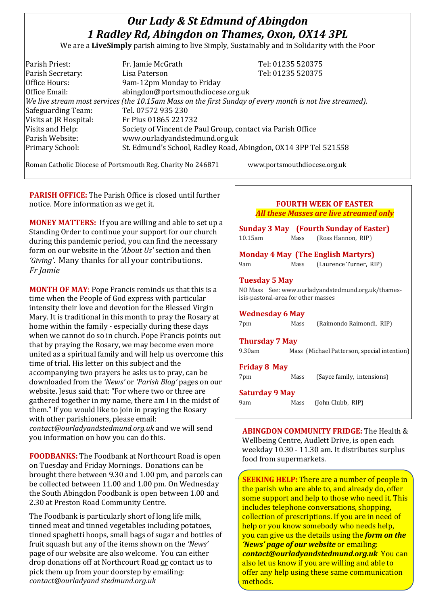# *Our Lady & St Edmund of Abingdon 1 Radley Rd, Abingdon on Thames, Oxon, OX14 3PL*

We are a **LiveSimply** parish aiming to live Simply, Sustainably and in Solidarity with the Poor

| Parish Priest:         | Fr. Jamie McGrath                                                                                        | Tel: 01235 520375 |
|------------------------|----------------------------------------------------------------------------------------------------------|-------------------|
| Parish Secretary:      | Lisa Paterson                                                                                            | Tel: 01235 520375 |
| Office Hours:          | 9am-12pm Monday to Friday                                                                                |                   |
| Office Email:          | abingdon@portsmouthdiocese.org.uk                                                                        |                   |
|                        | We live stream most services (the 10.15am Mass on the first Sunday of every month is not live streamed). |                   |
| Safeguarding Team:     | Tel. 07572 935 230                                                                                       |                   |
| Visits at JR Hospital: | Fr Pius 01865 221732                                                                                     |                   |
| Visits and Help:       | Society of Vincent de Paul Group, contact via Parish Office                                              |                   |
| Parish Website:        | www.ourladyandstedmund.org.uk                                                                            |                   |
| Primary School:        | St. Edmund's School, Radley Road, Abingdon, OX14 3PP Tel 521558                                          |                   |
|                        |                                                                                                          |                   |

Roman Catholic Diocese of Portsmouth Reg. Charity No 246871 www.portsmouthdiocese.org.uk

**PARISH OFFICE:** The Parish Office is closed until further notice. More information as we get it.

**MONEY MATTERS:** If you are willing and able to set up a Standing Order to continue your support for our church during this pandemic period, you can find the necessary form on our website in the *'About Us'* section and then *'Giving'*. Many thanks for all your contributions. *Fr Jamie*

**MONTH OF MAY**: Pope Francis reminds us that this is a time when the People of God express with particular intensity their love and devotion for the Blessed Virgin Mary. It is traditional in this month to pray the Rosary at home within the family - especially during these days when we cannot do so in church. Pope Francis points out that by praying the Rosary, we may become even more united as a spiritual family and will help us overcome this time of trial. His letter on this subject and the accompanying two prayers he asks us to pray, can be downloaded from the *'News'* or *'Parish Blog'* pages on our website. Jesus said that: "For where two or three are gathered together in my name, there am I in the midst of them." If you would like to join in praying the Rosary with other parishioners, please email: *contact@ourladyandstedmund.org.uk* and we will send you information on how you can do this.

**FOODBANKS:** The Foodbank at Northcourt Road is open on Tuesday and Friday Mornings. Donations can be brought there between 9.30 and 1.00 pm, and parcels can be collected between 11.00 and 1.00 pm. On Wednesday the South Abingdon Foodbank is open between 1.00 and 2.30 at Preston Road Community Centre.

The Foodbank is particularly short of long life milk, tinned meat and tinned vegetables including potatoes, tinned spaghetti hoops, small bags of sugar and bottles of fruit squash but any of the items shown on the *'News'* page of our website are also welcome. You can either drop donations off at Northcourt Road or contact us to pick them up from your doorstep by emailing: *contact@ourladyand stedmund.org.uk*

| <b>FOURTH WEEK OF EASTER</b>                   |
|------------------------------------------------|
| <b>All these Masses are live streamed only</b> |
|                                                |

|                                     |      | <b>Sunday 3 May</b> (Fourth Sunday of Easter)      |
|-------------------------------------|------|----------------------------------------------------|
| 10.15am                             | Mass | (Ross Hannon, RIP)                                 |
|                                     |      | <b>Monday 4 May (The English Martyrs)</b>          |
| 9am                                 | Mass | (Laurence Turner, RIP)                             |
| <b>Tuesday 5 May</b>                |      |                                                    |
|                                     |      | NO Mass See: www.ourladyandstedmund.org.uk/thames- |
| isis-pastoral-area for other masses |      |                                                    |

**Wednesday 6 May** 

| 7pm | Mass | (Raimondo Raimondi, RIP) |  |
|-----|------|--------------------------|--|
|     |      |                          |  |

**Thursday 7 May** 

9.30am Mass (Michael Patterson, special intention)

**Friday 8 May**

7pm Mass (Sayce family, intensions)

**Saturday 9 May** 

9am Mass (John Clubb, RIP)

**ABINGDON COMMUNITY FRIDGE:** The Health & Wellbeing Centre, Audlett Drive, is open each weekday 10.30 - 11.30 am. It distributes surplus food from supermarkets.

**SEEKING HELP:** There are a number of people in the parish who are able to, and already do, offer some support and help to those who need it. This includes telephone conversations, shopping, collection of prescriptions. If you are in need of help or you know somebody who needs help, you can give us the details using the *form on the 'News' page of our website* or emailing: *contact@ourladyandstedmund.org.uk* You can also let us know if you are willing and able to offer any help using these same communication methods.